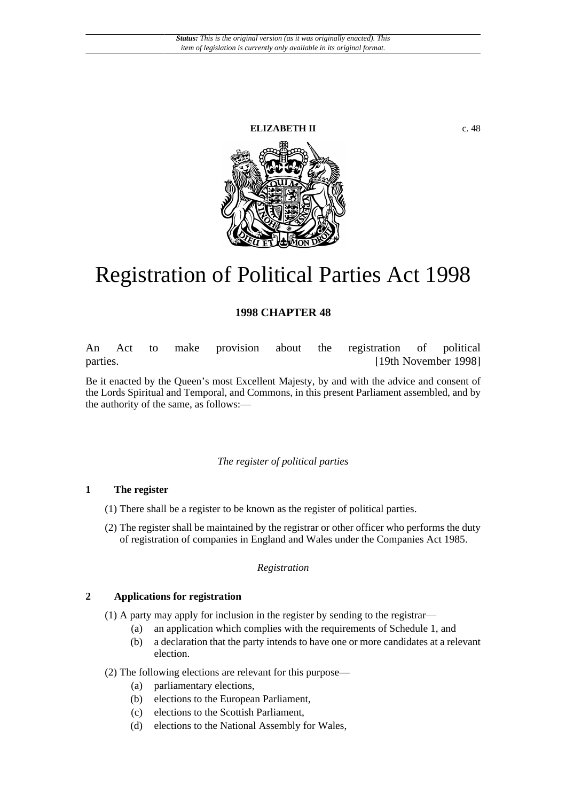#### **ELIZABETH II** c. 48



# Registration of Political Parties Act 1998

# **1998 CHAPTER 48**

An Act to make provision about the registration of political parties. [19th November 1998]

Be it enacted by the Queen's most Excellent Majesty, by and with the advice and consent of the Lords Spiritual and Temporal, and Commons, in this present Parliament assembled, and by the authority of the same, as follows:—

#### *The register of political parties*

#### **1 The register**

- (1) There shall be a register to be known as the register of political parties.
- (2) The register shall be maintained by the registrar or other officer who performs the duty of registration of companies in England and Wales under the Companies Act 1985.

#### *Registration*

#### **2 Applications for registration**

- (1) A party may apply for inclusion in the register by sending to the registrar—
	- (a) an application which complies with the requirements of Schedule 1, and
	- (b) a declaration that the party intends to have one or more candidates at a relevant election.

# (2) The following elections are relevant for this purpose—

- (a) parliamentary elections,
- (b) elections to the European Parliament,
- (c) elections to the Scottish Parliament,
- (d) elections to the National Assembly for Wales,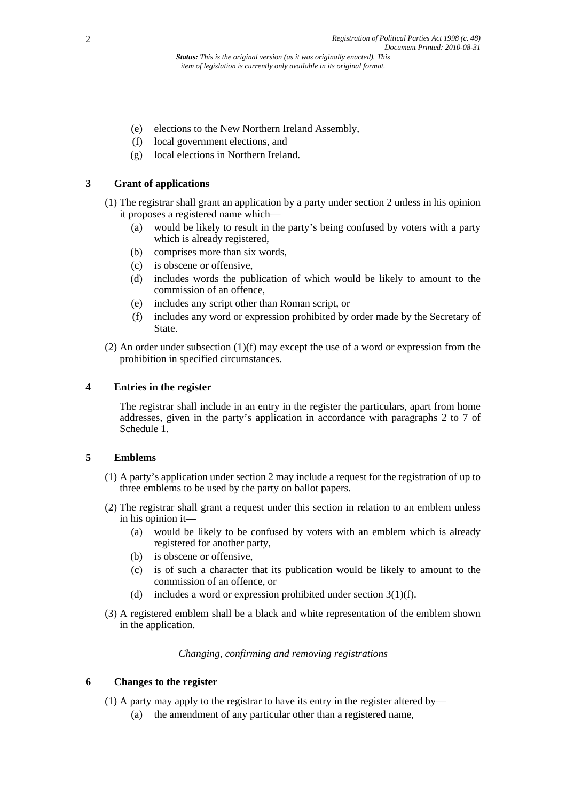- (e) elections to the New Northern Ireland Assembly,
- (f) local government elections, and
- (g) local elections in Northern Ireland.

# **3 Grant of applications**

- (1) The registrar shall grant an application by a party under section 2 unless in his opinion it proposes a registered name which—
	- (a) would be likely to result in the party's being confused by voters with a party which is already registered,
	- (b) comprises more than six words,
	- (c) is obscene or offensive,
	- (d) includes words the publication of which would be likely to amount to the commission of an offence,
	- (e) includes any script other than Roman script, or
	- (f) includes any word or expression prohibited by order made by the Secretary of State.
- (2) An order under subsection  $(1)(f)$  may except the use of a word or expression from the prohibition in specified circumstances.

# **4 Entries in the register**

The registrar shall include in an entry in the register the particulars, apart from home addresses, given in the party's application in accordance with paragraphs 2 to 7 of Schedule 1.

# **5 Emblems**

- (1) A party's application under section 2 may include a request for the registration of up to three emblems to be used by the party on ballot papers.
- (2) The registrar shall grant a request under this section in relation to an emblem unless in his opinion it—
	- (a) would be likely to be confused by voters with an emblem which is already registered for another party,
	- (b) is obscene or offensive,
	- (c) is of such a character that its publication would be likely to amount to the commission of an offence, or
	- (d) includes a word or expression prohibited under section  $3(1)(f)$ .
- (3) A registered emblem shall be a black and white representation of the emblem shown in the application.

*Changing, confirming and removing registrations*

# **6 Changes to the register**

- (1) A party may apply to the registrar to have its entry in the register altered by—
	- (a) the amendment of any particular other than a registered name,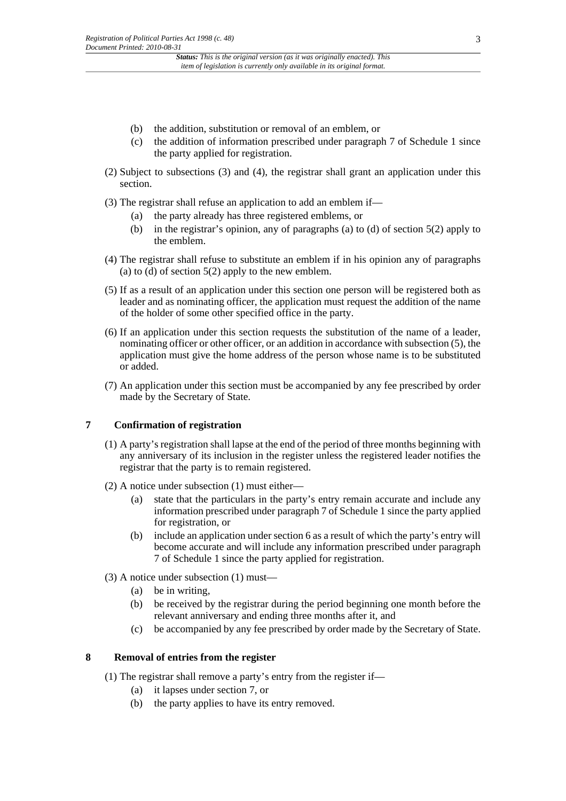- (b) the addition, substitution or removal of an emblem, or
- (c) the addition of information prescribed under paragraph 7 of Schedule 1 since the party applied for registration.
- (2) Subject to subsections (3) and (4), the registrar shall grant an application under this section.
- (3) The registrar shall refuse an application to add an emblem if—
	- (a) the party already has three registered emblems, or
	- (b) in the registrar's opinion, any of paragraphs (a) to (d) of section 5(2) apply to the emblem.
- (4) The registrar shall refuse to substitute an emblem if in his opinion any of paragraphs (a) to (d) of section  $5(2)$  apply to the new emblem.
- (5) If as a result of an application under this section one person will be registered both as leader and as nominating officer, the application must request the addition of the name of the holder of some other specified office in the party.
- (6) If an application under this section requests the substitution of the name of a leader, nominating officer or other officer, or an addition in accordance with subsection (5), the application must give the home address of the person whose name is to be substituted or added.
- (7) An application under this section must be accompanied by any fee prescribed by order made by the Secretary of State.

# **7 Confirmation of registration**

- (1) A party's registration shall lapse at the end of the period of three months beginning with any anniversary of its inclusion in the register unless the registered leader notifies the registrar that the party is to remain registered.
- (2) A notice under subsection (1) must either—
	- (a) state that the particulars in the party's entry remain accurate and include any information prescribed under paragraph 7 of Schedule 1 since the party applied for registration, or
	- (b) include an application under section 6 as a result of which the party's entry will become accurate and will include any information prescribed under paragraph 7 of Schedule 1 since the party applied for registration.
- (3) A notice under subsection (1) must—
	- (a) be in writing,
	- (b) be received by the registrar during the period beginning one month before the relevant anniversary and ending three months after it, and
	- (c) be accompanied by any fee prescribed by order made by the Secretary of State.

# **8 Removal of entries from the register**

- (1) The registrar shall remove a party's entry from the register if—
	- (a) it lapses under section 7, or
	- (b) the party applies to have its entry removed.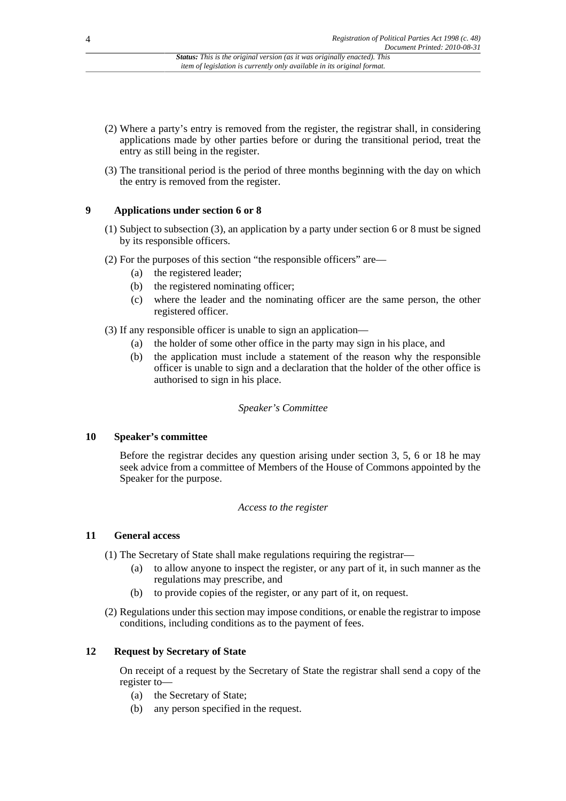- (2) Where a party's entry is removed from the register, the registrar shall, in considering applications made by other parties before or during the transitional period, treat the entry as still being in the register.
- (3) The transitional period is the period of three months beginning with the day on which the entry is removed from the register.

# **9 Applications under section 6 or 8**

- (1) Subject to subsection (3), an application by a party under section 6 or 8 must be signed by its responsible officers.
- (2) For the purposes of this section "the responsible officers" are—
	- (a) the registered leader;
	- (b) the registered nominating officer;
	- (c) where the leader and the nominating officer are the same person, the other registered officer.
- (3) If any responsible officer is unable to sign an application—
	- (a) the holder of some other office in the party may sign in his place, and
	- (b) the application must include a statement of the reason why the responsible officer is unable to sign and a declaration that the holder of the other office is authorised to sign in his place.

# *Speaker's Committee*

# **10 Speaker's committee**

Before the registrar decides any question arising under section 3, 5, 6 or 18 he may seek advice from a committee of Members of the House of Commons appointed by the Speaker for the purpose.

# *Access to the register*

# **11 General access**

(1) The Secretary of State shall make regulations requiring the registrar—

- (a) to allow anyone to inspect the register, or any part of it, in such manner as the regulations may prescribe, and
- (b) to provide copies of the register, or any part of it, on request.
- (2) Regulations under this section may impose conditions, or enable the registrar to impose conditions, including conditions as to the payment of fees.

# **12 Request by Secretary of State**

On receipt of a request by the Secretary of State the registrar shall send a copy of the register to—

- (a) the Secretary of State;
- (b) any person specified in the request.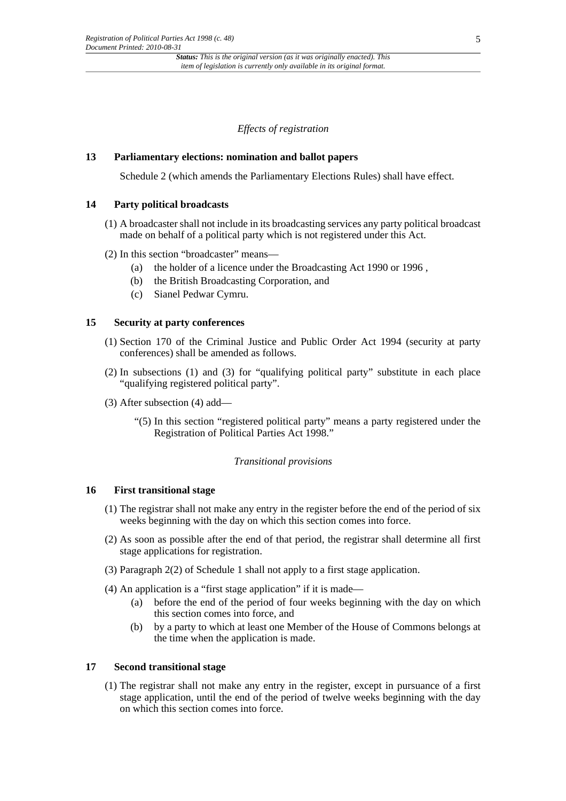*Effects of registration*

#### **13 Parliamentary elections: nomination and ballot papers**

Schedule 2 (which amends the Parliamentary Elections Rules) shall have effect.

# **14 Party political broadcasts**

- (1) A broadcaster shall not include in its broadcasting services any party political broadcast made on behalf of a political party which is not registered under this Act.
- (2) In this section "broadcaster" means—
	- (a) the holder of a licence under the Broadcasting Act 1990 or 1996 ,
	- (b) the British Broadcasting Corporation, and
	- (c) Sianel Pedwar Cymru.

#### **15 Security at party conferences**

- (1) Section 170 of the Criminal Justice and Public Order Act 1994 (security at party conferences) shall be amended as follows.
- (2) In subsections (1) and (3) for "qualifying political party" substitute in each place "qualifying registered political party".
- (3) After subsection (4) add—
	- "(5) In this section "registered political party" means a party registered under the Registration of Political Parties Act 1998."

#### *Transitional provisions*

#### **16 First transitional stage**

- (1) The registrar shall not make any entry in the register before the end of the period of six weeks beginning with the day on which this section comes into force.
- (2) As soon as possible after the end of that period, the registrar shall determine all first stage applications for registration.
- (3) Paragraph 2(2) of Schedule 1 shall not apply to a first stage application.
- (4) An application is a "first stage application" if it is made—
	- (a) before the end of the period of four weeks beginning with the day on which this section comes into force, and
	- (b) by a party to which at least one Member of the House of Commons belongs at the time when the application is made.

#### **17 Second transitional stage**

(1) The registrar shall not make any entry in the register, except in pursuance of a first stage application, until the end of the period of twelve weeks beginning with the day on which this section comes into force.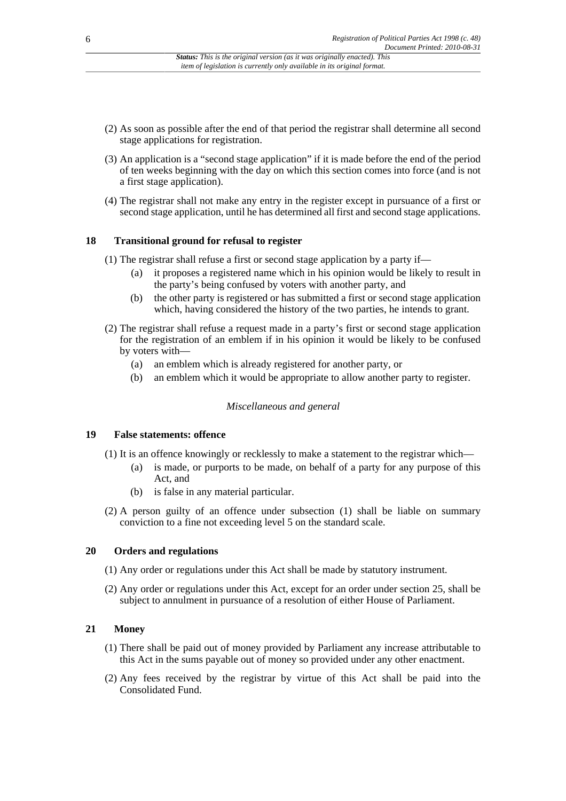- (2) As soon as possible after the end of that period the registrar shall determine all second stage applications for registration.
- (3) An application is a "second stage application" if it is made before the end of the period of ten weeks beginning with the day on which this section comes into force (and is not a first stage application).
- (4) The registrar shall not make any entry in the register except in pursuance of a first or second stage application, until he has determined all first and second stage applications.

# **18 Transitional ground for refusal to register**

- (1) The registrar shall refuse a first or second stage application by a party if—
	- (a) it proposes a registered name which in his opinion would be likely to result in the party's being confused by voters with another party, and
	- (b) the other party is registered or has submitted a first or second stage application which, having considered the history of the two parties, he intends to grant.
- (2) The registrar shall refuse a request made in a party's first or second stage application for the registration of an emblem if in his opinion it would be likely to be confused by voters with—
	- (a) an emblem which is already registered for another party, or
	- (b) an emblem which it would be appropriate to allow another party to register.

#### *Miscellaneous and general*

# **19 False statements: offence**

- (1) It is an offence knowingly or recklessly to make a statement to the registrar which—
	- (a) is made, or purports to be made, on behalf of a party for any purpose of this Act, and
	- (b) is false in any material particular.
- (2) A person guilty of an offence under subsection (1) shall be liable on summary conviction to a fine not exceeding level 5 on the standard scale.

#### **20 Orders and regulations**

- (1) Any order or regulations under this Act shall be made by statutory instrument.
- (2) Any order or regulations under this Act, except for an order under section 25, shall be subject to annulment in pursuance of a resolution of either House of Parliament.

# **21 Money**

- (1) There shall be paid out of money provided by Parliament any increase attributable to this Act in the sums payable out of money so provided under any other enactment.
- (2) Any fees received by the registrar by virtue of this Act shall be paid into the Consolidated Fund.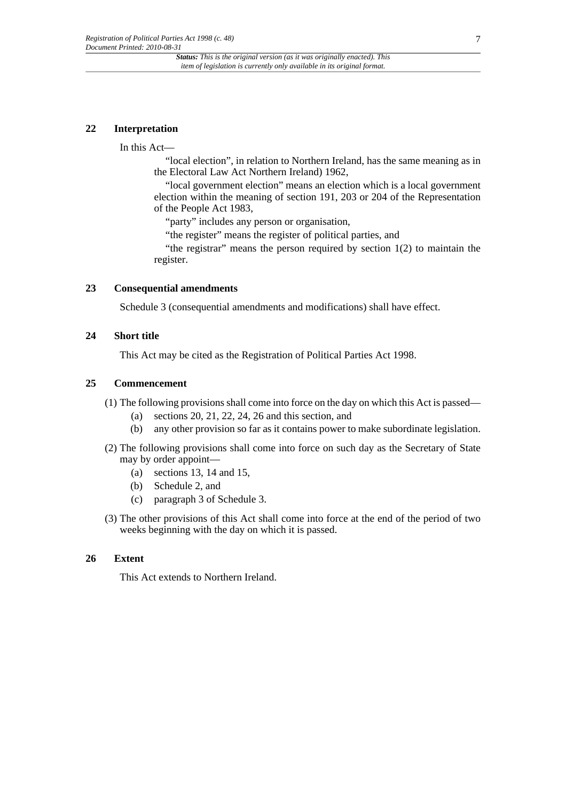#### **22 Interpretation**

In this Act—

"local election", in relation to Northern Ireland, has the same meaning as in the Electoral Law Act Northern Ireland) 1962,

"local government election" means an election which is a local government election within the meaning of section 191, 203 or 204 of the Representation of the People Act 1983,

"party" includes any person or organisation,

"the register" means the register of political parties, and

"the registrar" means the person required by section 1(2) to maintain the register.

# **23 Consequential amendments**

Schedule 3 (consequential amendments and modifications) shall have effect.

#### **24 Short title**

This Act may be cited as the Registration of Political Parties Act 1998.

# **25 Commencement**

(1) The following provisions shall come into force on the day on which this Act is passed—

- (a) sections 20, 21, 22, 24, 26 and this section, and
- (b) any other provision so far as it contains power to make subordinate legislation.
- (2) The following provisions shall come into force on such day as the Secretary of State may by order appoint—
	- (a) sections 13, 14 and 15,
	- (b) Schedule 2, and
	- (c) paragraph 3 of Schedule 3.
- (3) The other provisions of this Act shall come into force at the end of the period of two weeks beginning with the day on which it is passed.

### **26 Extent**

This Act extends to Northern Ireland.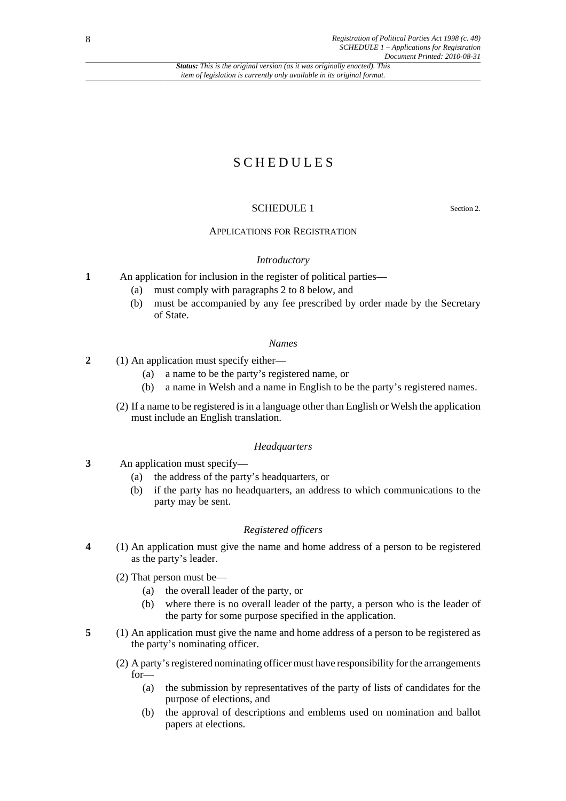*Status: This is the original version (as it was originally enacted). This item of legislation is currently only available in its original format.*

# S C H E D U L E S

# SCHEDULE 1 Section 2.

#### APPLICATIONS FOR REGISTRATION

#### *Introductory*

- **1** An application for inclusion in the register of political parties—
	- (a) must comply with paragraphs 2 to 8 below, and
	- (b) must be accompanied by any fee prescribed by order made by the Secretary of State.

#### *Names*

- **2** (1) An application must specify either—
	- (a) a name to be the party's registered name, or
	- (b) a name in Welsh and a name in English to be the party's registered names.
	- (2) If a name to be registered is in a language other than English or Welsh the application must include an English translation.

#### *Headquarters*

- **3** An application must specify—
	- (a) the address of the party's headquarters, or
	- (b) if the party has no headquarters, an address to which communications to the party may be sent.

# *Registered officers*

- **4** (1) An application must give the name and home address of a person to be registered as the party's leader.
	- (2) That person must be—
		- (a) the overall leader of the party, or
		- (b) where there is no overall leader of the party, a person who is the leader of the party for some purpose specified in the application.
- **5** (1) An application must give the name and home address of a person to be registered as the party's nominating officer.
	- (2) A party's registered nominating officer must have responsibility for the arrangements for—
		- (a) the submission by representatives of the party of lists of candidates for the purpose of elections, and
		- (b) the approval of descriptions and emblems used on nomination and ballot papers at elections.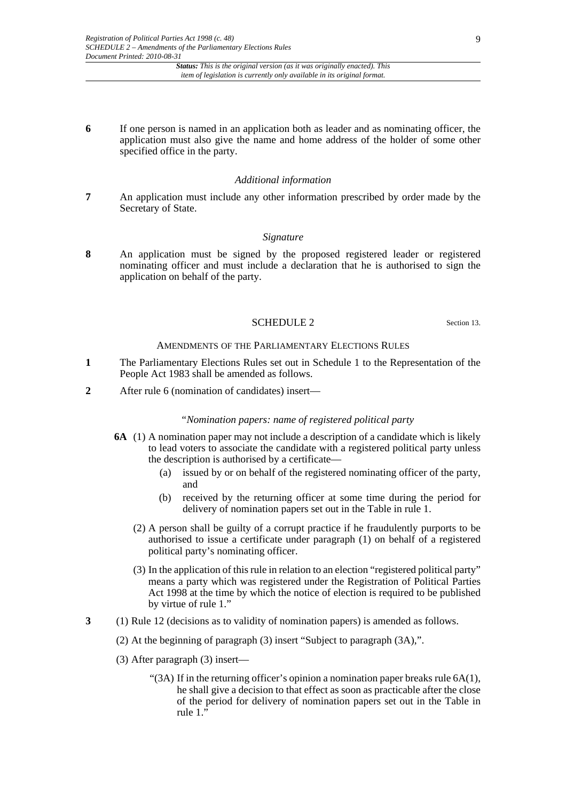#### *Status: This is the original version (as it was originally enacted). This item of legislation is currently only available in its original format.*

**6** If one person is named in an application both as leader and as nominating officer, the application must also give the name and home address of the holder of some other specified office in the party.

#### *Additional information*

**7** An application must include any other information prescribed by order made by the Secretary of State.

#### *Signature*

**8** An application must be signed by the proposed registered leader or registered nominating officer and must include a declaration that he is authorised to sign the application on behalf of the party.

#### SCHEDULE 2 Section 13.

#### AMENDMENTS OF THE PARLIAMENTARY ELECTIONS RULES

- **1** The Parliamentary Elections Rules set out in Schedule 1 to the Representation of the People Act 1983 shall be amended as follows.
- **2** After rule 6 (nomination of candidates) insert—

#### *"Nomination papers: name of registered political party*

- **6A** (1) A nomination paper may not include a description of a candidate which is likely to lead voters to associate the candidate with a registered political party unless the description is authorised by a certificate—
	- (a) issued by or on behalf of the registered nominating officer of the party, and
	- (b) received by the returning officer at some time during the period for delivery of nomination papers set out in the Table in rule 1.
	- (2) A person shall be guilty of a corrupt practice if he fraudulently purports to be authorised to issue a certificate under paragraph (1) on behalf of a registered political party's nominating officer.
	- (3) In the application of this rule in relation to an election "registered political party" means a party which was registered under the Registration of Political Parties Act 1998 at the time by which the notice of election is required to be published by virtue of rule 1."
- **3** (1) Rule 12 (decisions as to validity of nomination papers) is amended as follows.
	- (2) At the beginning of paragraph (3) insert "Subject to paragraph (3A),".
	- (3) After paragraph (3) insert—
		- "(3A) If in the returning officer's opinion a nomination paper breaks rule  $6A(1)$ , he shall give a decision to that effect as soon as practicable after the close of the period for delivery of nomination papers set out in the Table in rule  $1.\overline{)}$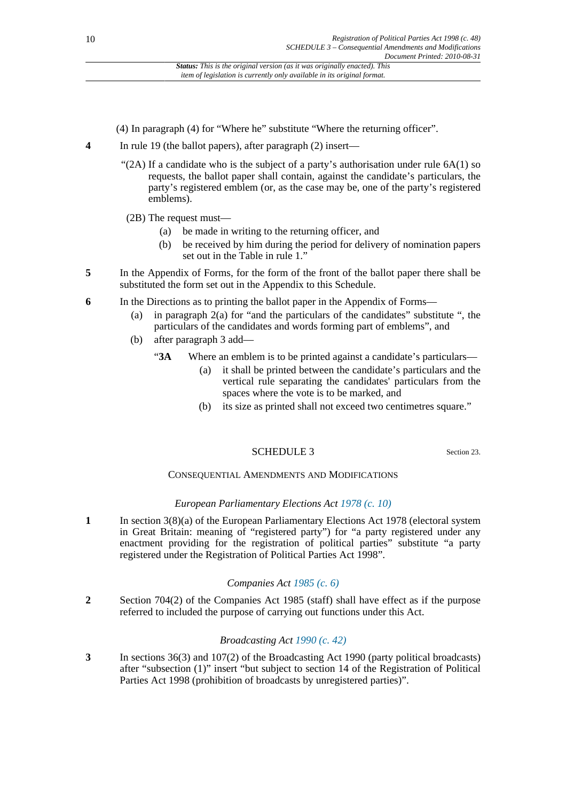- (4) In paragraph (4) for "Where he" substitute "Where the returning officer".
- **4** In rule 19 (the ballot papers), after paragraph (2) insert—
	- "(2A) If a candidate who is the subject of a party's authorisation under rule  $6A(1)$  so requests, the ballot paper shall contain, against the candidate's particulars, the party's registered emblem (or, as the case may be, one of the party's registered emblems).
	- (2B) The request must—
		- (a) be made in writing to the returning officer, and
		- (b) be received by him during the period for delivery of nomination papers set out in the Table in rule 1."
- **5** In the Appendix of Forms, for the form of the front of the ballot paper there shall be substituted the form set out in the Appendix to this Schedule.
- **6** In the Directions as to printing the ballot paper in the Appendix of Forms—
	- (a) in paragraph 2(a) for "and the particulars of the candidates" substitute ", the particulars of the candidates and words forming part of emblems", and
	- (b) after paragraph 3 add—
		- "**3A** Where an emblem is to be printed against a candidate's particulars—
			- (a) it shall be printed between the candidate's particulars and the vertical rule separating the candidates' particulars from the spaces where the vote is to be marked, and
			- (b) its size as printed shall not exceed two centimetres square."

# SCHEDULE 3 Section 23.

# CONSEQUENTIAL AMENDMENTS AND MODIFICATIONS

# *European Parliamentary Elections Act [1978 \(c. 10\)](http://www.legislation.gov.uk/id/ukpga/1978/10)*

**1** In section 3(8)(a) of the European Parliamentary Elections Act 1978 (electoral system in Great Britain: meaning of "registered party") for "a party registered under any enactment providing for the registration of political parties" substitute "a party registered under the Registration of Political Parties Act 1998".

# *Companies Act [1985 \(c. 6\)](http://www.legislation.gov.uk/id/ukpga/1985/6)*

**2** Section 704(2) of the Companies Act 1985 (staff) shall have effect as if the purpose referred to included the purpose of carrying out functions under this Act.

# *Broadcasting Act [1990 \(c. 42\)](http://www.legislation.gov.uk/id/ukpga/1990/42)*

**3** In sections 36(3) and 107(2) of the Broadcasting Act 1990 (party political broadcasts) after "subsection (1)" insert "but subject to section 14 of the Registration of Political Parties Act 1998 (prohibition of broadcasts by unregistered parties)".